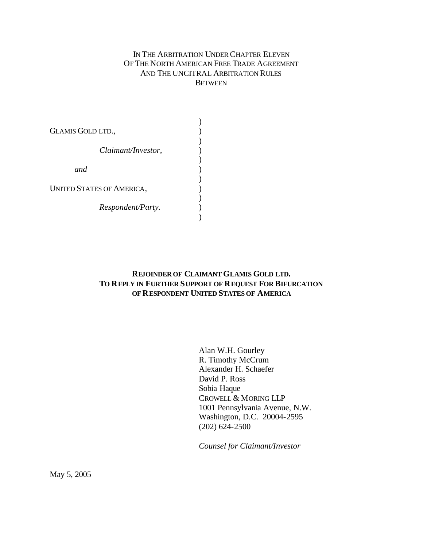## IN THE ARBITRATION UNDER CHAPTER ELEVEN OF THE NORTH AMERICAN FREE TRADE AGREEMENT AND THE UNCITRAL ARBITRATION RULES BETWEEN

| <b>GLAMIS GOLD LTD.,</b>  |  |
|---------------------------|--|
| Claimant/Investor,        |  |
| and                       |  |
| UNITED STATES OF AMERICA, |  |
| <i>Respondent/Party.</i>  |  |

# **REJOINDER OF CLAIMANT GLAMIS GOLD LTD. TO REPLY IN FURTHER SUPPORT OF REQUEST FOR BIFURCATION OF RESPONDENT UNITED STATES OF AMERICA**

Alan W.H. Gourley R. Timothy McCrum Alexander H. Schaefer David P. Ross Sobia Haque CROWELL & MORING LLP 1001 Pennsylvania Avenue, N.W. Washington, D.C. 20004-2595 (202) 624-2500

*Counsel for Claimant/Investor*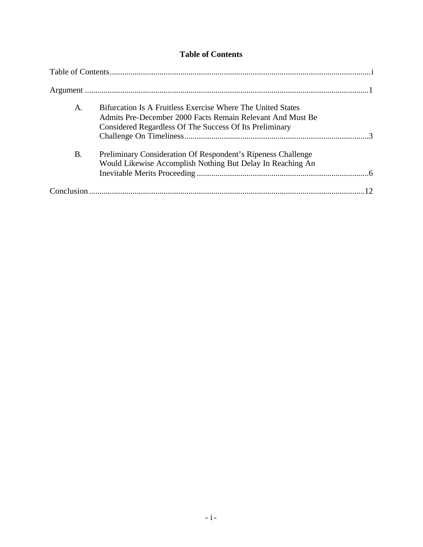# **Table of Contents**

| A.        | Bifurcation Is A Fruitless Exercise Where The United States<br>Admits Pre-December 2000 Facts Remain Relevant And Must Be<br>Considered Regardless Of The Success Of Its Preliminary |  |
|-----------|--------------------------------------------------------------------------------------------------------------------------------------------------------------------------------------|--|
| <b>B.</b> | Preliminary Consideration Of Respondent's Ripeness Challenge<br>Would Likewise Accomplish Nothing But Delay In Reaching An                                                           |  |
|           |                                                                                                                                                                                      |  |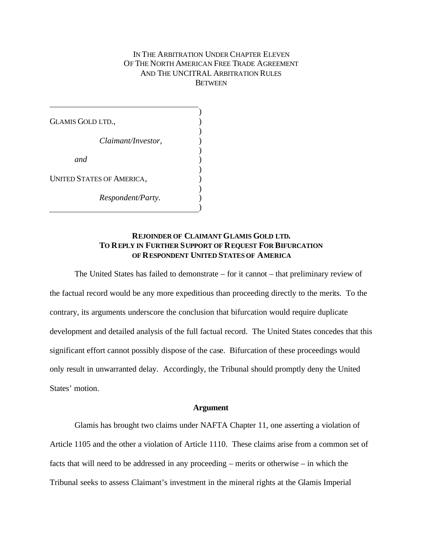### IN THE ARBITRATION UNDER CHAPTER ELEVEN OF THE NORTH AMERICAN FREE TRADE AGREEMENT AND THE UNCITRAL ARBITRATION RULES **BETWEEN**

GLAMIS GOLD LTD., *Claimant/Investor, and* UNITED STATES OF AMERICA, *Respondent/Party.* ) ) ) ) ) ) ) ) ) ) )

### **REJOINDER OF CLAIMANT GLAMIS GOLD LTD. TO REPLY IN FURTHER SUPPORT OF REQUEST FOR BIFURCATION OF RESPONDENT UNITED STATES OF AMERICA**

The United States has failed to demonstrate – for it cannot – that preliminary review of the factual record would be any more expeditious than proceeding directly to the merits. To the contrary, its arguments underscore the conclusion that bifurcation would require duplicate development and detailed analysis of the full factual record. The United States concedes that this significant effort cannot possibly dispose of the case. Bifurcation of these proceedings would only result in unwarranted delay. Accordingly, the Tribunal should promptly deny the United States' motion.

#### **Argument**

Glamis has brought two claims under NAFTA Chapter 11, one asserting a violation of Article 1105 and the other a violation of Article 1110. These claims arise from a common set of facts that will need to be addressed in any proceeding – merits or otherwise – in which the Tribunal seeks to assess Claimant's investment in the mineral rights at the Glamis Imperial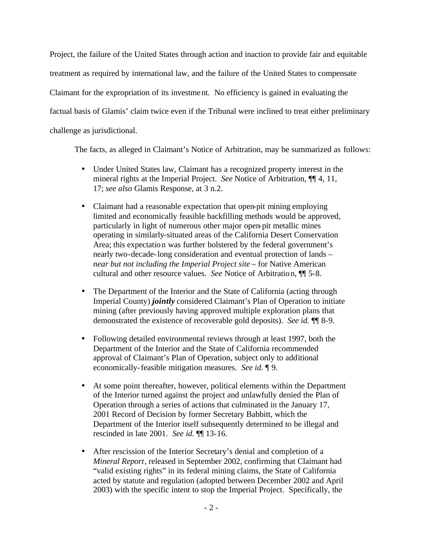Project, the failure of the United States through action and inaction to provide fair and equitable treatment as required by international law, and the failure of the United States to compensate Claimant for the expropriation of its investment. No efficiency is gained in evaluating the factual basis of Glamis' claim twice even if the Tribunal were inclined to treat either preliminary challenge as jurisdictional.

The facts, as alleged in Claimant's Notice of Arbitration, may be summarized as follows:

- Under United States law, Claimant has a recognized property interest in the mineral rights at the Imperial Project. *See* Notice of Arbitration, ¶¶ 4, 11, 17; *see also* Glamis Response, at 3 n.2.
- Claimant had a reasonable expectation that open-pit mining employing limited and economically feasible backfilling methods would be approved, particularly in light of numerous other major open-pit metallic mines operating in similarly-situated areas of the California Desert Conservation Area; this expectation was further bolstered by the federal government's nearly two-decade-long consideration and eventual protection of lands – *near but not including the Imperial Project site* – for Native American cultural and other resource values. *See* Notice of Arbitration, ¶¶ 5-8.
- The Department of the Interior and the State of California (acting through Imperial County) *jointly* considered Claimant's Plan of Operation to initiate mining (after previously having approved multiple exploration plans that demonstrated the existence of recoverable gold deposits). *See id.* ¶¶ 8-9.
- Following detailed environmental reviews through at least 1997, both the Department of the Interior and the State of California recommended approval of Claimant's Plan of Operation, subject only to additional economically-feasible mitigation measures. *See id.* ¶ 9.
- At some point thereafter, however, political elements within the Department of the Interior turned against the project and unlawfully denied the Plan of Operation through a series of actions that culminated in the January 17, 2001 Record of Decision by former Secretary Babbitt, which the Department of the Interior itself subsequently determined to be illegal and rescinded in late 2001. *See id.* ¶¶ 13-16.
- After rescission of the Interior Secretary's denial and completion of a *Mineral Report*, released in September 2002, confirming that Claimant had "valid existing rights" in its federal mining claims, the State of California acted by statute and regulation (adopted between December 2002 and April 2003) with the specific intent to stop the Imperial Project. Specifically, the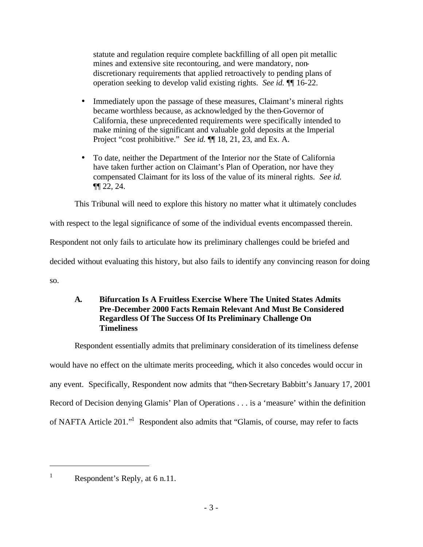statute and regulation require complete backfilling of all open pit metallic mines and extensive site recontouring, and were mandatory, nondiscretionary requirements that applied retroactively to pending plans of operation seeking to develop valid existing rights. *See id.* ¶¶ 16-22.

- Immediately upon the passage of these measures, Claimant's mineral rights became worthless because, as acknowledged by the then-Governor of California, these unprecedented requirements were specifically intended to make mining of the significant and valuable gold deposits at the Imperial Project "cost prohibitive." *See id.*  $\P$  18, 21, 23, and Ex. A.
- To date, neither the Department of the Interior nor the State of California have taken further action on Claimant's Plan of Operation, nor have they compensated Claimant for its loss of the value of its mineral rights. *See id.* ¶¶ 22, 24.

This Tribunal will need to explore this history no matter what it ultimately concludes

with respect to the legal significance of some of the individual events encompassed therein.

Respondent not only fails to articulate how its preliminary challenges could be briefed and

decided without evaluating this history, but also fails to identify any convincing reason for doing

so.

# **A. Bifurcation Is A Fruitless Exercise Where The United States Admits Pre-December 2000 Facts Remain Relevant And Must Be Considered Regardless Of The Success Of Its Preliminary Challenge On Timeliness**

Respondent essentially admits that preliminary consideration of its timeliness defense would have no effect on the ultimate merits proceeding, which it also concedes would occur in any event. Specifically, Respondent now admits that "then-Secretary Babbitt's January 17, 2001 Record of Decision denying Glamis' Plan of Operations . . . is a 'measure' within the definition

of NAFTA Article 201."<sup>1</sup> Respondent also admits that "Glamis, of course, may refer to facts

<sup>&</sup>lt;sup>1</sup> Respondent's Reply, at 6 n.11.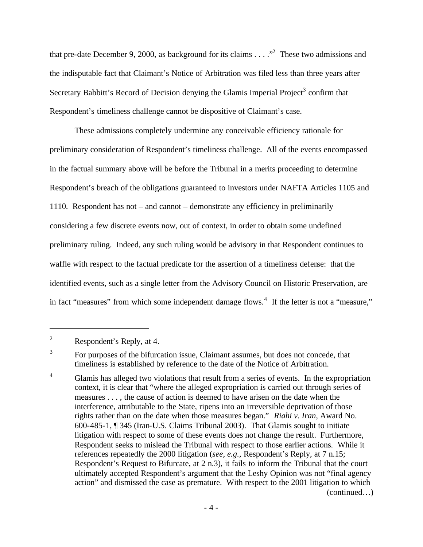that pre-date December 9, 2000, as background for its claims  $\dots$   $\cdot$ <sup>2</sup>. These two admissions and the indisputable fact that Claimant's Notice of Arbitration was filed less than three years after Secretary Babbitt's Record of Decision denying the Glamis Imperial Project<sup>3</sup> confirm that Respondent's timeliness challenge cannot be dispositive of Claimant's case.

These admissions completely undermine any conceivable efficiency rationale for preliminary consideration of Respondent's timeliness challenge. All of the events encompassed in the factual summary above will be before the Tribunal in a merits proceeding to determine Respondent's breach of the obligations guaranteed to investors under NAFTA Articles 1105 and 1110. Respondent has not – and cannot – demonstrate any efficiency in preliminarily considering a few discrete events now, out of context, in order to obtain some undefined preliminary ruling. Indeed, any such ruling would be advisory in that Respondent continues to waffle with respect to the factual predicate for the assertion of a timeliness defense: that the identified events, such as a single letter from the Advisory Council on Historic Preservation, are in fact "measures" from which some independent damage flows.<sup>4</sup> If the letter is not a "measure,"

<sup>2</sup> Respondent's Reply, at 4.

<sup>3</sup> For purposes of the bifurcation issue, Claimant assumes, but does not concede, that timeliness is established by reference to the date of the Notice of Arbitration.

<sup>&</sup>lt;sup>4</sup> Glamis has alleged two violations that result from a series of events. In the expropriation context, it is clear that "where the alleged expropriation is carried out through series of measures . . . , the cause of action is deemed to have arisen on the date when the interference, attributable to the State, ripens into an irreversible deprivation of those rights rather than on the date when those measures began." *Riahi v. Iran*, Award No. 600-485-1, ¶ 345 (Iran-U.S. Claims Tribunal 2003). That Glamis sought to initiate litigation with respect to some of these events does not change the result. Furthermore, Respondent seeks to mislead the Tribunal with respect to those earlier actions. While it references repeatedly the 2000 litigation (*see, e.g.,* Respondent's Reply, at 7 n.15; Respondent's Request to Bifurcate, at 2 n.3), it fails to inform the Tribunal that the court ultimately accepted Respondent's argument that the Leshy Opinion was not "final agency action" and dismissed the case as premature. With respect to the 2001 litigation to which (continued…)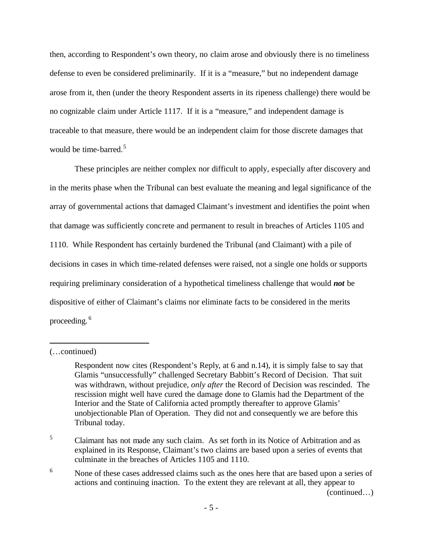then, according to Respondent's own theory, no claim arose and obviously there is no timeliness defense to even be considered preliminarily. If it is a "measure," but no independent damage arose from it, then (under the theory Respondent asserts in its ripeness challenge) there would be no cognizable claim under Article 1117. If it is a "measure," and independent damage is traceable to that measure, there would be an independent claim for those discrete damages that would be time-barred.<sup>5</sup>

These principles are neither complex nor difficult to apply, especially after discovery and in the merits phase when the Tribunal can best evaluate the meaning and legal significance of the array of governmental actions that damaged Claimant's investment and identifies the point when that damage was sufficiently concrete and permanent to result in breaches of Articles 1105 and 1110. While Respondent has certainly burdened the Tribunal (and Claimant) with a pile of decisions in cases in which time-related defenses were raised, not a single one holds or supports requiring preliminary consideration of a hypothetical timeliness challenge that would *not* be dispositive of either of Claimant's claims nor eliminate facts to be considered in the merits proceeding. <sup>6</sup>

 $\overline{a}$ 

(continued…)

<sup>(…</sup>continued)

Respondent now cites (Respondent's Reply, at 6 and n.14), it is simply false to say that Glamis "unsuccessfully" challenged Secretary Babbitt's Record of Decision. That suit was withdrawn, without prejudice, *only after* the Record of Decision was rescinded. The rescission might well have cured the damage done to Glamis had the Department of the Interior and the State of California acted promptly thereafter to approve Glamis' unobjectionable Plan of Operation. They did not and consequently we are before this Tribunal today.

<sup>&</sup>lt;sup>5</sup> Claimant has not made any such claim. As set forth in its Notice of Arbitration and as explained in its Response, Claimant's two claims are based upon a series of events that culminate in the breaches of Articles 1105 and 1110.

<sup>&</sup>lt;sup>6</sup> None of these cases addressed claims such as the ones here that are based upon a series of actions and continuing inaction. To the extent they are relevant at all, they appear to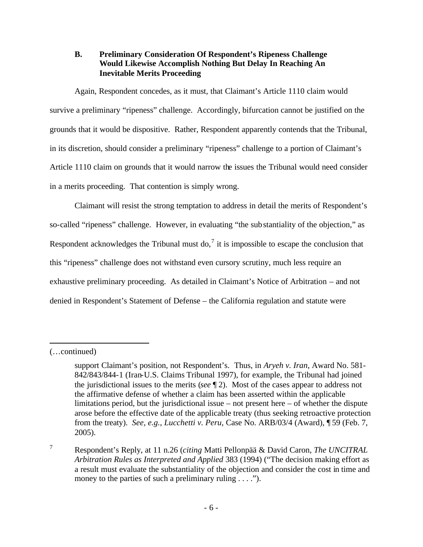## **B. Preliminary Consideration Of Respondent's Ripeness Challenge Would Likewise Accomplish Nothing But Delay In Reaching An Inevitable Merits Proceeding**

Again, Respondent concedes, as it must, that Claimant's Article 1110 claim would survive a preliminary "ripeness" challenge. Accordingly, bifurcation cannot be justified on the grounds that it would be dispositive. Rather, Respondent apparently contends that the Tribunal, in its discretion, should consider a preliminary "ripeness" challenge to a portion of Claimant's Article 1110 claim on grounds that it would narrow the issues the Tribunal would need consider in a merits proceeding. That contention is simply wrong.

Claimant will resist the strong temptation to address in detail the merits of Respondent's so-called "ripeness" challenge. However, in evaluating "the substantiality of the objection," as Respondent acknowledges the Tribunal must do,<sup>7</sup> it is impossible to escape the conclusion that this "ripeness" challenge does not withstand even cursory scrutiny, much less require an exhaustive preliminary proceeding. As detailed in Claimant's Notice of Arbitration – and not denied in Respondent's Statement of Defense – the California regulation and statute were

<sup>(…</sup>continued)

support Claimant's position, not Respondent's. Thus, in *Aryeh v. Iran*, Award No. 581- 842/843/844-1 (Iran-U.S. Claims Tribunal 1997), for example, the Tribunal had joined the jurisdictional issues to the merits (*see* ¶ 2). Most of the cases appear to address not the affirmative defense of whether a claim has been asserted within the applicable limitations period, but the jurisdictional issue – not present here – of whether the dispute arose before the effective date of the applicable treaty (thus seeking retroactive protection from the treaty). *See, e.g.*, *Lucchetti v. Peru*, Case No. ARB/03/4 (Award), ¶ 59 (Feb. 7, 2005).

<sup>7</sup> Respondent's Reply, at 11 n.26 (*citing* Matti Pellonpää & David Caron, *The UNCITRAL Arbitration Rules as Interpreted and Applied* 383 (1994) ("The decision making effort as a result must evaluate the substantiality of the objection and consider the cost in time and money to the parties of such a preliminary ruling . . . .").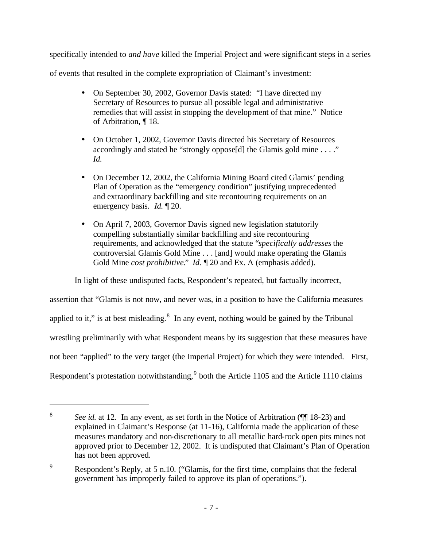specifically intended to *and have* killed the Imperial Project and were significant steps in a series

of events that resulted in the complete expropriation of Claimant's investment:

- On September 30, 2002, Governor Davis stated: "I have directed my Secretary of Resources to pursue all possible legal and administrative remedies that will assist in stopping the development of that mine." Notice of Arbitration, ¶ 18.
- On October 1, 2002, Governor Davis directed his Secretary of Resources accordingly and stated he "strongly oppose[d] the Glamis gold mine . . . ." *Id.*
- On December 12, 2002, the California Mining Board cited Glamis' pending Plan of Operation as the "emergency condition" justifying unprecedented and extraordinary backfilling and site recontouring requirements on an emergency basis. *Id.* ¶ 20.
- On April 7, 2003, Governor Davis signed new legislation statutorily compelling substantially similar backfilling and site recontouring requirements, and acknowledged that the statute "*specifically addresses* the controversial Glamis Gold Mine . . . [and] would make operating the Glamis Gold Mine *cost prohibitive*." *Id.* ¶ 20 and Ex. A (emphasis added).

In light of these undisputed facts, Respondent's repeated, but factually incorrect,

assertion that "Glamis is not now, and never was, in a position to have the California measures applied to it," is at best misleading. $8\,$  In any event, nothing would be gained by the Tribunal wrestling preliminarily with what Respondent means by its suggestion that these measures have not been "applied" to the very target (the Imperial Project) for which they were intended. First, Respondent's protestation notwithstanding,  $9$  both the Article 1105 and the Article 1110 claims

<sup>8</sup> *See id.* at 12. In any event, as set forth in the Notice of Arbitration ( $\P$  18-23) and explained in Claimant's Response (at 11-16), California made the application of these measures mandatory and non-discretionary to all metallic hard-rock open pits mines not approved prior to December 12, 2002. It is undisputed that Claimant's Plan of Operation has not been approved.

<sup>9</sup> Respondent's Reply, at 5 n.10. ("Glamis, for the first time, complains that the federal government has improperly failed to approve its plan of operations.").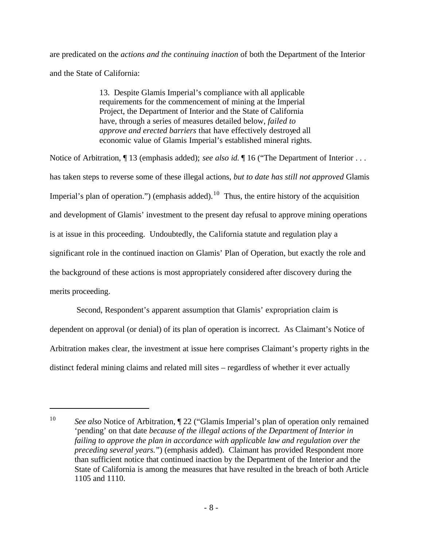are predicated on the *actions and the continuing inaction* of both the Department of the Interior and the State of California:

> 13. Despite Glamis Imperial's compliance with all applicable requirements for the commencement of mining at the Imperial Project, the Department of Interior and the State of California have, through a series of measures detailed below, *failed to approve and erected barriers* that have effectively destroyed all economic value of Glamis Imperial's established mineral rights.

Notice of Arbitration, ¶ 13 (emphasis added); *see also id.* ¶ 16 ("The Department of Interior . . . has taken steps to reverse some of these illegal actions, *but to date has still not approved* Glamis Imperial's plan of operation.") (emphasis added).<sup>10</sup> Thus, the entire history of the acquisition and development of Glamis' investment to the present day refusal to approve mining operations is at issue in this proceeding. Undoubtedly, the California statute and regulation play a significant role in the continued inaction on Glamis' Plan of Operation, but exactly the role and the background of these actions is most appropriately considered after discovery during the merits proceeding.

 Second, Respondent's apparent assumption that Glamis' expropriation claim is dependent on approval (or denial) of its plan of operation is incorrect. As Claimant's Notice of Arbitration makes clear, the investment at issue here comprises Claimant's property rights in the distinct federal mining claims and related mill sites – regardless of whether it ever actually

<sup>&</sup>lt;sup>10</sup> *See also* Notice of Arbitration,  $\sqrt{\ }$  22 ("Glamis Imperial's plan of operation only remained 'pending' on that date *because of the illegal actions of the Department of Interior in failing to approve the plan in accordance with applicable law and regulation over the preceding several years.*") (emphasis added). Claimant has provided Respondent more than sufficient notice that continued inaction by the Department of the Interior and the State of California is among the measures that have resulted in the breach of both Article 1105 and 1110.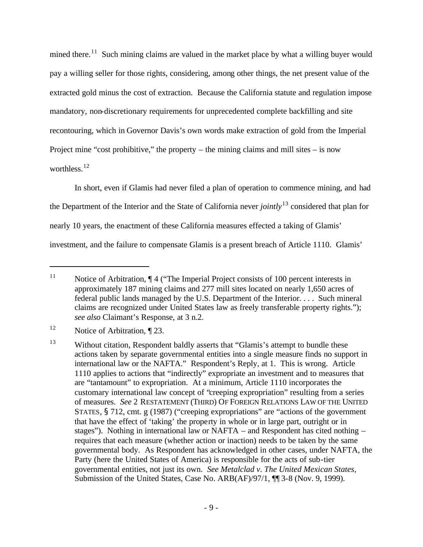mined there.<sup>11</sup> Such mining claims are valued in the market place by what a willing buyer would pay a willing seller for those rights, considering, among other things, the net present value of the extracted gold minus the cost of extraction. Because the California statute and regulation impose mandatory, non-discretionary requirements for unprecedented complete backfilling and site recontouring, which in Governor Davis's own words make extraction of gold from the Imperial Project mine "cost prohibitive," the property – the mining claims and mill sites – is now worthless.<sup>12</sup>

In short, even if Glamis had never filed a plan of operation to commence mining, and had the Department of the Interior and the State of California never *jointly*<sup>13</sup> considered that plan for nearly 10 years, the enactment of these California measures effected a taking of Glamis' investment, and the failure to compensate Glamis is a present breach of Article 1110. Glamis'

<sup>&</sup>lt;sup>11</sup> Notice of Arbitration, ¶ 4 ("The Imperial Project consists of 100 percent interests in approximately 187 mining claims and 277 mill sites located on nearly 1,650 acres of federal public lands managed by the U.S. Department of the Interior. . . . Such mineral claims are recognized under United States law as freely transferable property rights."); *see also* Claimant's Response, at 3 n.2.

<sup>&</sup>lt;sup>12</sup> Notice of Arbitration, ¶ 23.

<sup>&</sup>lt;sup>13</sup> Without citation, Respondent baldly asserts that "Glamis's attempt to bundle these actions taken by separate governmental entities into a single measure finds no support in international law or the NAFTA." Respondent's Reply, at 1. This is wrong. Article 1110 applies to actions that "indirectly" expropriate an investment and to measures that are "tantamount" to expropriation. At a minimum, Article 1110 incorporates the customary international law concept of "creeping expropriation" resulting from a series of measures. *See* 2 RESTATEMENT (THIRD) OF FOREIGN RELATIONS LAW OF THE UNITED STATES, § 712, cmt. g (1987) ("creeping expropriations" are "actions of the government that have the effect of 'taking' the property in whole or in large part, outright or in stages"). Nothing in international law or NAFTA – and Respondent has cited nothing – requires that each measure (whether action or inaction) needs to be taken by the same governmental body. As Respondent has acknowledged in other cases, under NAFTA, the Party (here the United States of America) is responsible for the acts of sub-tier governmental entities, not just its own. *See Metalclad v. The United Mexican States*, Submission of the United States, Case No. ARB(AF)/97/1,  $\P$ <sup>1</sup> 3-8 (Nov. 9, 1999).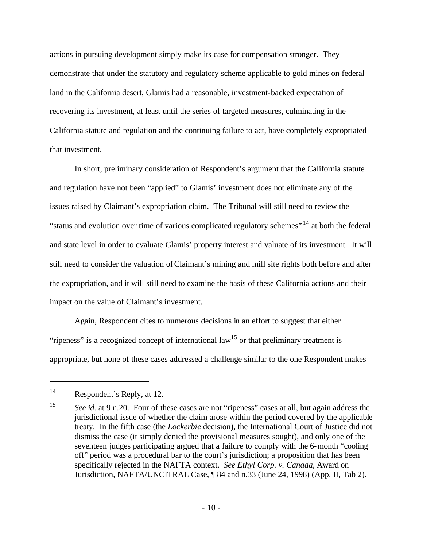actions in pursuing development simply make its case for compensation stronger. They demonstrate that under the statutory and regulatory scheme applicable to gold mines on federal land in the California desert, Glamis had a reasonable, investment-backed expectation of recovering its investment, at least until the series of targeted measures, culminating in the California statute and regulation and the continuing failure to act, have completely expropriated that investment.

In short, preliminary consideration of Respondent's argument that the California statute and regulation have not been "applied" to Glamis' investment does not eliminate any of the issues raised by Claimant's expropriation claim. The Tribunal will still need to review the "status and evolution over time of various complicated regulatory schemes" <sup>14</sup> at both the federal and state level in order to evaluate Glamis' property interest and valuate of its investment. It will still need to consider the valuation of Claimant's mining and mill site rights both before and after the expropriation, and it will still need to examine the basis of these California actions and their impact on the value of Claimant's investment.

Again, Respondent cites to numerous decisions in an effort to suggest that either "ripeness" is a recognized concept of international law<sup>15</sup> or that preliminary treatment is appropriate, but none of these cases addressed a challenge similar to the one Respondent makes

<sup>14</sup> Respondent's Reply, at 12.

<sup>15</sup> *See id.* at 9 n.20. Four of these cases are not "ripeness" cases at all, but again address the jurisdictional issue of whether the claim arose within the period covered by the applicable treaty. In the fifth case (the *Lockerbie* decision), the International Court of Justice did not dismiss the case (it simply denied the provisional measures sought), and only one of the seventeen judges participating argued that a failure to comply with the 6-month "cooling off" period was a procedural bar to the court's jurisdiction; a proposition that has been specifically rejected in the NAFTA context. *See Ethyl Corp. v. Canada*, Award on Jurisdiction, NAFTA/UNCITRAL Case, ¶ 84 and n.33 (June 24, 1998) (App. II, Tab 2).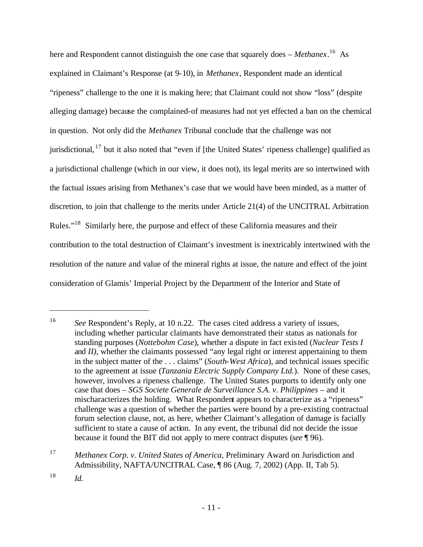here and Respondent cannot distinguish the one case that squarely does – *Methanex*.<sup>16</sup> As explained in Claimant's Response (at 9-10), in *Methanex*, Respondent made an identical "ripeness" challenge to the one it is making here; that Claimant could not show "loss" (despite alleging damage) because the complained-of measures had not yet effected a ban on the chemical in question. Not only did the *Methanex* Tribunal conclude that the challenge was not jurisdictional, <sup>17</sup> but it also noted that "even if [the United States' ripeness challenge] qualified as a jurisdictional challenge (which in our view, it does not), its legal merits are so intertwined with the factual issues arising from Methanex's case that we would have been minded, as a matter of discretion, to join that challenge to the merits under Article 21(4) of the UNCITRAL Arbitration Rules."<sup>18</sup> Similarly here, the purpose and effect of these California measures and their contribution to the total destruction of Claimant's investment is inextricably intertwined with the resolution of the nature and value of the mineral rights at issue, the nature and effect of the joint consideration of Glamis' Imperial Project by the Department of the Interior and State of

<sup>&</sup>lt;sup>16</sup> *See* Respondent's Reply, at 10 n.22. The cases cited address a variety of issues, including whether particular claimants have demonstrated their status as nationals for standing purposes (*Nottebohm Case*), whether a dispute in fact existed (*Nuclear Tests I*  and *II*), whether the claimants possessed "any legal right or interest appertaining to them in the subject matter of the . . . claims" (*South-West Africa*), and technical issues specific to the agreement at issue (*Tanzania Electric Supply Company Ltd.*). None of these cases, however, involves a ripeness challenge. The United States purports to identify only one case that does – *SGS Societe Generale de Surveillance S.A. v. Philippines* – and it mischaracterizes the holding. What Respondent appears to characterize as a "ripeness" challenge was a question of whether the parties were bound by a pre-existing contractual forum selection clause, not, as here, whether Claimant's allegation of damage is facially sufficient to state a cause of action. In any event, the tribunal did not decide the issue because it found the BIT did not apply to mere contract disputes (*see* ¶ 96).

<sup>17</sup> *Methanex Corp. v. United States of America*, Preliminary Award on Jurisdiction and Admissibility, NAFTA/UNCITRAL Case, ¶ 86 (Aug. 7, 2002) (App. II, Tab 5).

<sup>18</sup> *Id.*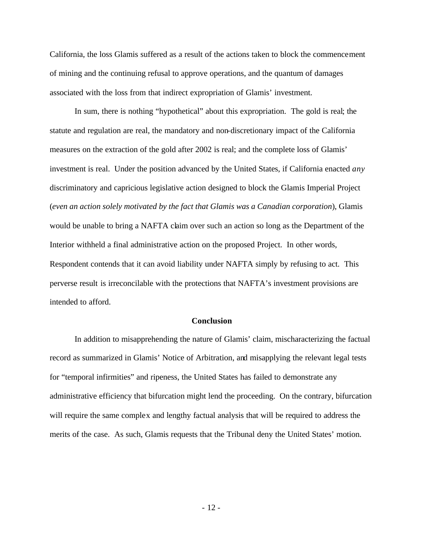California, the loss Glamis suffered as a result of the actions taken to block the commencement of mining and the continuing refusal to approve operations, and the quantum of damages associated with the loss from that indirect expropriation of Glamis' investment.

In sum, there is nothing "hypothetical" about this expropriation. The gold is real; the statute and regulation are real, the mandatory and non-discretionary impact of the California measures on the extraction of the gold after 2002 is real; and the complete loss of Glamis' investment is real. Under the position advanced by the United States, if California enacted *any* discriminatory and capricious legislative action designed to block the Glamis Imperial Project (*even an action solely motivated by the fact that Glamis was a Canadian corporation*), Glamis would be unable to bring a NAFTA claim over such an action so long as the Department of the Interior withheld a final administrative action on the proposed Project. In other words, Respondent contends that it can avoid liability under NAFTA simply by refusing to act. This perverse result is irreconcilable with the protections that NAFTA's investment provisions are intended to afford.

#### **Conclusion**

In addition to misapprehending the nature of Glamis' claim, mischaracterizing the factual record as summarized in Glamis' Notice of Arbitration, and misapplying the relevant legal tests for "temporal infirmities" and ripeness, the United States has failed to demonstrate any administrative efficiency that bifurcation might lend the proceeding. On the contrary, bifurcation will require the same complex and lengthy factual analysis that will be required to address the merits of the case. As such, Glamis requests that the Tribunal deny the United States' motion.